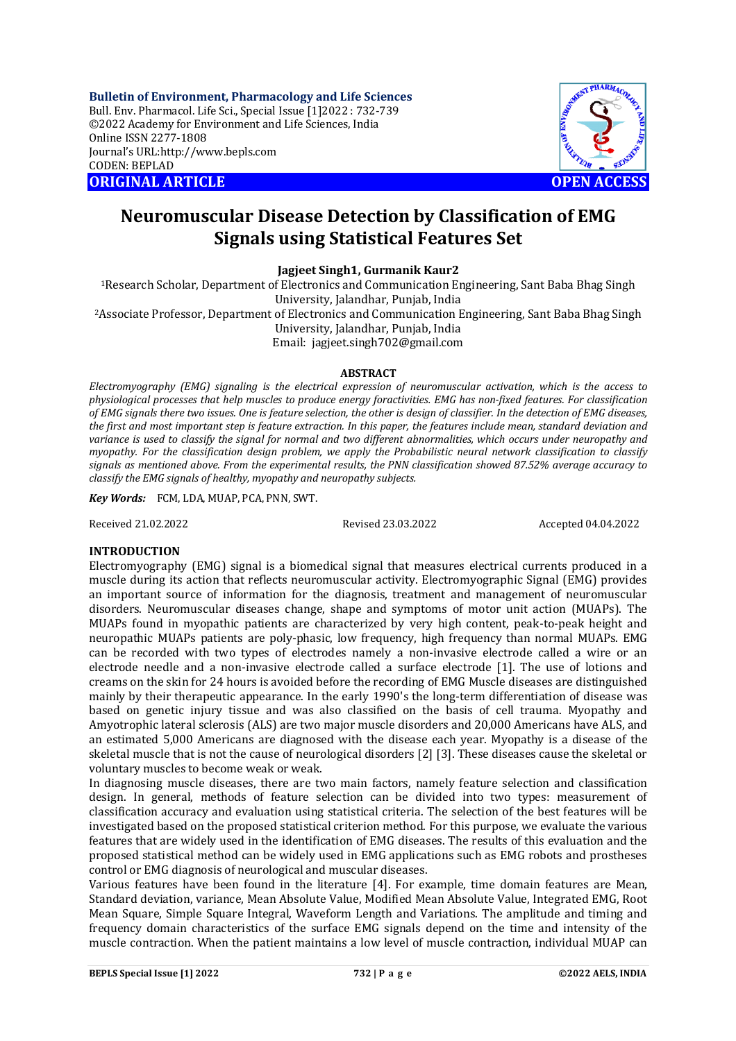**Bulletin of Environment, Pharmacology and Life Sciences** Bull. Env. Pharmacol. Life Sci., Special Issue [1]2022 : 732-739 ©2022 Academy for Environment and Life Sciences, India Online ISSN 2277-1808 Journal's URL:<http://www.bepls.com> CODEN: BEPLAD **ORIGINAL ARTICLE OPEN ACCESS** 



## **Neuromuscular Disease Detection by Classification of EMG Signals using Statistical Features Set**

**Jagjeet Singh1, Gurmanik Kaur2**

<sup>1</sup>Research Scholar, Department of Electronics and Communication Engineering, Sant Baba Bhag Singh University, Jalandhar, Punjab, India

<sup>2</sup>Associate Professor, Department of Electronics and Communication Engineering, Sant Baba Bhag Singh University, Jalandhar, Punjab, India

Email: [jagjeet.singh702@gmail.com](mailto:jagjeet.singh702@gmail.com)

## **ABSTRACT**

*Electromyography (EMG) signaling is the electrical expression of neuromuscular activation, which is the access to physiological processes that help muscles to produce energy foractivities. EMG has non-fixed features. For classification of EMG signals there two issues. One is feature selection, the other is design of classifier. In the detection of EMG diseases, the first and most important step is feature extraction. In this paper, the features include mean, standard deviation and variance is used to classify the signal for normal and two different abnormalities, which occurs under neuropathy and myopathy. For the classification design problem, we apply the Probabilistic neural network classification to classify signals as mentioned above. From the experimental results, the PNN classification showed 87.52% average accuracy to classify the EMG signals of healthy, myopathy and neuropathy subjects.* 

*Key Words:* FCM, LDA, MUAP, PCA, PNN, SWT.

Received 21.02.2022 Revised 23.03.2022 Accepted 04.04.2022

## **INTRODUCTION**

Electromyography (EMG) signal is a biomedical signal that measures electrical currents produced in a muscle during its action that reflects neuromuscular activity. Electromyographic Signal (EMG) provides an important source of information for the diagnosis, treatment and management of neuromuscular disorders. Neuromuscular diseases change, shape and symptoms of motor unit action (MUAPs). The MUAPs found in myopathic patients are characterized by very high content, peak-to-peak height and neuropathic MUAPs patients are poly-phasic, low frequency, high frequency than normal MUAPs. EMG can be recorded with two types of electrodes namely a non-invasive electrode called a wire or an electrode needle and a non-invasive electrode called a surface electrode [1]. The use of lotions and creams on the skin for 24 hours is avoided before the recording of EMG Muscle diseases are distinguished mainly by their therapeutic appearance. In the early 1990's the long-term differentiation of disease was based on genetic injury tissue and was also classified on the basis of cell trauma. Myopathy and Amyotrophic lateral sclerosis (ALS) are two major muscle disorders and 20,000 Americans have ALS, and an estimated 5,000 Americans are diagnosed with the disease each year. Myopathy is a disease of the skeletal muscle that is not the cause of neurological disorders [2] [3]. These diseases cause the skeletal or voluntary muscles to become weak or weak.

In diagnosing muscle diseases, there are two main factors, namely feature selection and classification design. In general, methods of feature selection can be divided into two types: measurement of classification accuracy and evaluation using statistical criteria. The selection of the best features will be investigated based on the proposed statistical criterion method. For this purpose, we evaluate the various features that are widely used in the identification of EMG diseases. The results of this evaluation and the proposed statistical method can be widely used in EMG applications such as EMG robots and prostheses control or EMG diagnosis of neurological and muscular diseases.

Various features have been found in the literature [4]. For example, time domain features are Mean, Standard deviation, variance, Mean Absolute Value, Modified Mean Absolute Value, Integrated EMG, Root Mean Square, Simple Square Integral, Waveform Length and Variations. The amplitude and timing and frequency domain characteristics of the surface EMG signals depend on the time and intensity of the muscle contraction. When the patient maintains a low level of muscle contraction, individual MUAP can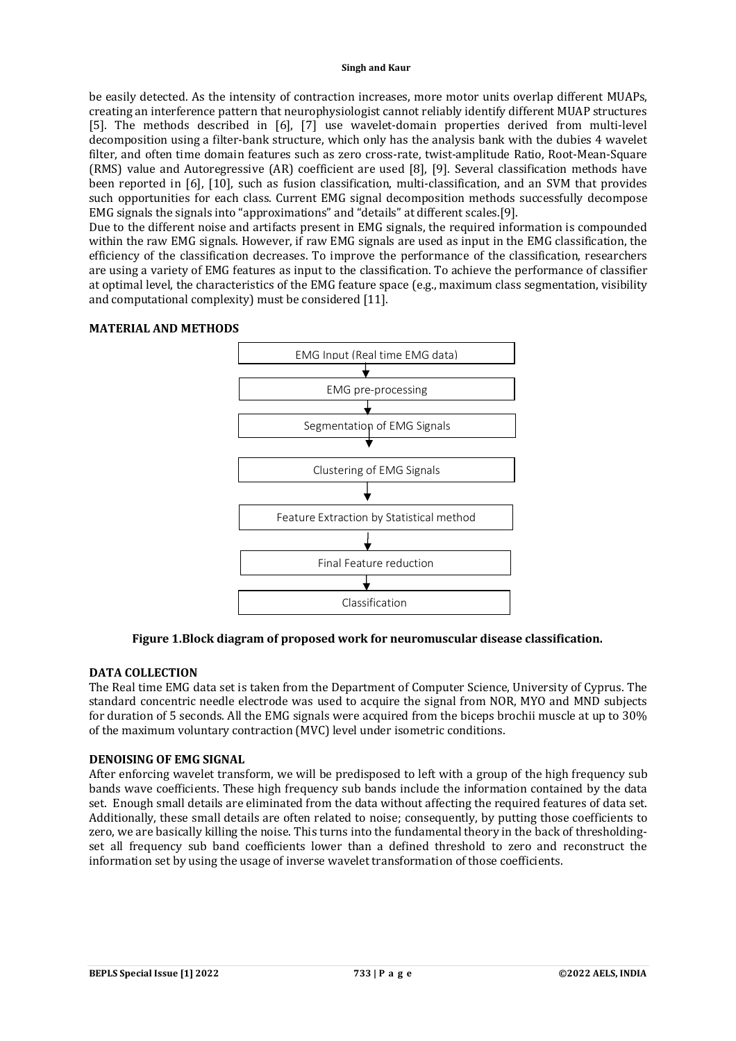be easily detected. As the intensity of contraction increases, more motor units overlap different MUAPs, creating an interference pattern that neurophysiologist cannot reliably identify different MUAP structures [5]. The methods described in [6], [7] use wavelet-domain properties derived from multi-level decomposition using a filter-bank structure, which only has the analysis bank with the dubies 4 wavelet filter, and often time domain features such as zero cross-rate, twist-amplitude Ratio, Root-Mean-Square (RMS) value and Autoregressive (AR) coefficient are used [8], [9]. Several classification methods have been reported in [6], [10], such as fusion classification, multi-classification, and an SVM that provides such opportunities for each class. Current EMG signal decomposition methods successfully decompose EMG signals the signals into "approximations" and "details" at different scales.[9].

Due to the different noise and artifacts present in EMG signals, the required information is compounded within the raw EMG signals. However, if raw EMG signals are used as input in the EMG classification, the efficiency of the classification decreases. To improve the performance of the classification, researchers are using a variety of EMG features as input to the classification. To achieve the performance of classifier at optimal level, the characteristics of the EMG feature space (e.g., maximum class segmentation, visibility and computational complexity) must be considered [11].

# EMG Input (Real time EMG data) EMG pre-processing Segmentation of EMG Signals Clustering of EMG Signals Feature Extraction by Statistical method Final Feature reduction ↓ Classification

## **MATERIAL AND METHODS**

**Figure 1.Block diagram of proposed work for neuromuscular disease classification.**

## **DATA COLLECTION**

The Real time EMG data set is taken from the Department of Computer Science, University of Cyprus. The standard concentric needle electrode was used to acquire the signal from NOR, MYO and MND subjects for duration of 5 seconds. All the EMG signals were acquired from the biceps brochii muscle at up to 30% of the maximum voluntary contraction (MVC) level under isometric conditions.

## **DENOISING OF EMG SIGNAL**

After enforcing wavelet transform, we will be predisposed to left with a group of the high frequency sub bands wave coefficients. These high frequency sub bands include the information contained by the data set. Enough small details are eliminated from the data without affecting the required features of data set. Additionally, these small details are often related to noise; consequently, by putting those coefficients to zero, we are basically killing the noise. This turns into the fundamental theory in the back of thresholdingset all frequency sub band coefficients lower than a defined threshold to zero and reconstruct the information set by using the usage of inverse wavelet transformation of those coefficients.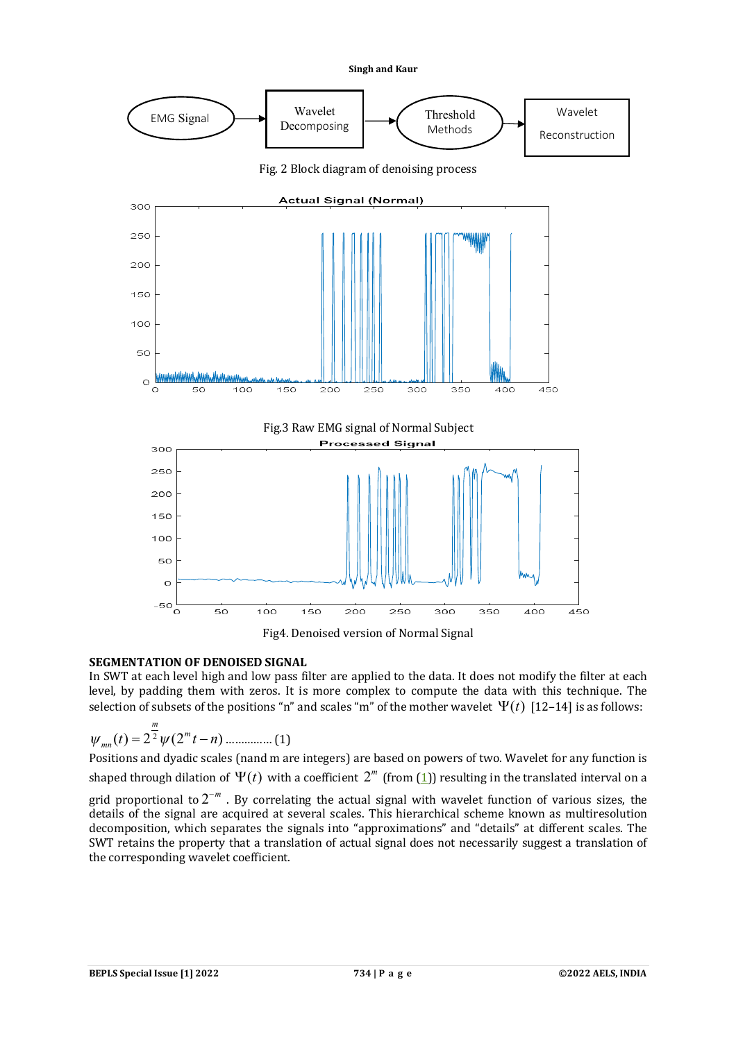

## **SEGMENTATION OF DENOISED SIGNAL**

In SWT at each level high and low pass filter are applied to the data. It does not modify the filter at each level, by padding them with zeros. It is more complex to compute the data with this technique. The selection of subsets of the positions "n" and scales "m" of the mother wavelet  $\Psi(t)$  [12–14] is as follows:

$$
\psi_{mn}(t) = 2^{\frac{m}{2}} \psi(2^m t - n) \dots (1)
$$

Positions and dyadic scales (nand m are integers) are based on powers of two. Wavelet for any function is shaped through dilation of  $\Psi(t)$  with a coefficient  $2^m$  (from (<u>1</u>)) resulting in the translated interval on a

grid proportional to  $2^{-m}$  . By correlating the actual signal with wavelet function of various sizes, the details of the signal are acquired at several scales. This hierarchical scheme known as multiresolution decomposition, which separates the signals into "approximations" and "details" at different scales. The SWT retains the property that a translation of actual signal does not necessarily suggest a translation of the corresponding wavelet coefficient.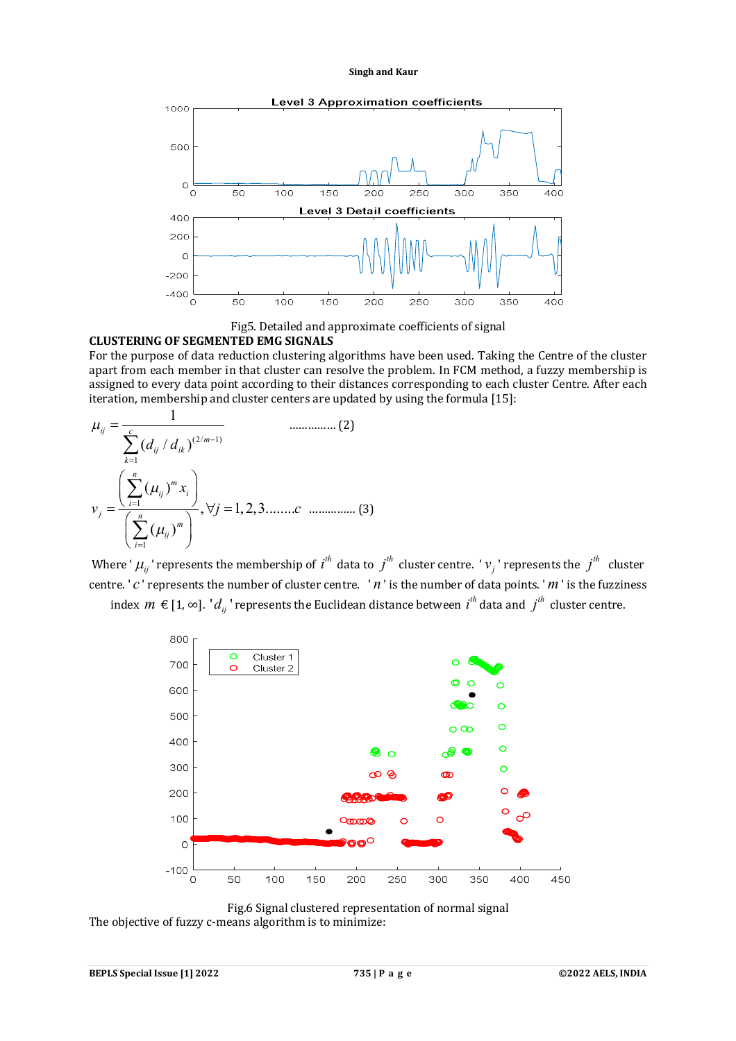

Fig5. Detailed and approximate coefficients of signal

#### **CLUSTERING OF SEGMENTED EMG SIGNALS**

1

For the purpose of data reduction clustering algorithms have been used. Taking the Centre of the cluster apart from each member in that cluster can resolve the problem. In FCM method, a fuzzy membership is assigned to every data point according to their distances corresponding to each cluster Centre. After each iteration, membership and cluster centers are updated by using the formula [15]:

(2/ 1) 1 ( / ) *ij c m ij ik k d d* …………… (2) 1 1 ( ) , 1, 2,3........ ( ) *n m ij i i j n m ij i x v j c* …………… (3)

Where '  $\mu_{ij}$ ' represents the membership of  $i^{th}$  data to  $j^{th}$  cluster centre. '  $v_j$  ' represents the  $j^{th}$  cluster centre. ' *c* ' represents the number of cluster centre. ' *n* ' is the number of data points. '*m* ' is the fuzziness





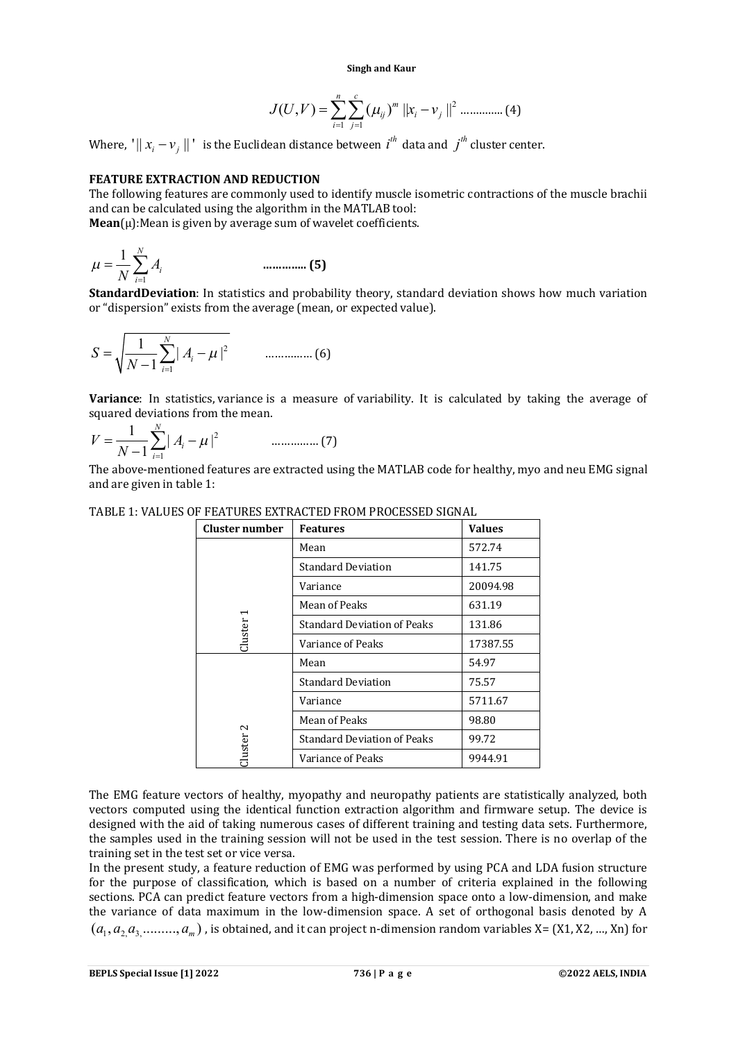$$
J(U,V) = \sum_{i=1}^{n} \sum_{j=1}^{c} (\mu_{ij})^{m} ||x_{i} - v_{j}||^{2}
$$
 ....... (4)

Where, ' $||x_i - v_j||$ ' is the Euclidean distance between  $i^{th}$  data and  $j^{th}$  cluster center.

## **FEATURE EXTRACTION AND REDUCTION**

The following features are commonly used to identify muscle isometric contractions of the muscle brachii and can be calculated using the algorithm in the MATLAB tool:  $Mean(\mu)$ : Mean is given by average sum of wavelet coefficients.

$$
\mu = \frac{1}{N} \sum_{i=1}^{N} A_i
$$
 (5)

**StandardDeviation**: In statistics and probability theory, standard deviation shows how much variation or "dispersion" exists from the average (mean, or expected value).

$$
S = \sqrt{\frac{1}{N-1} \sum_{i=1}^{N} |A_i - \mu|^2}
$$
 ....... (6)

**Variance**: In statistics, variance is a measure of variability. It is calculated by taking the average of squared deviations from the mean.

2 1  $\frac{1}{\sqrt{2}}\sum_{i=1}^{N}|A_i-\mu|^2$ 1 *N i i*  $V = \frac{1}{\sqrt{2}} \sum_i |A_i|$  $\overline{N-1}\sum_{i=1}^{\infty}$  |  $A_i - \mu$  $\overline{a}$  $=\frac{1}{\sqrt{1-\frac{1}{2}}}$   $\sum |A_i - A_j|$ …………… (7)

The above-mentioned features are extracted using the MATLAB code for healthy, myo and neu EMG signal and are given in table 1:

| Cluster number    | <b>Features</b>                    | <b>Values</b> |
|-------------------|------------------------------------|---------------|
| <b>Cluster</b>    | Mean                               | 572.74        |
|                   | <b>Standard Deviation</b>          | 141.75        |
|                   | Variance                           | 20094.98      |
|                   | Mean of Peaks                      | 631.19        |
|                   | <b>Standard Deviation of Peaks</b> | 131.86        |
|                   | Variance of Peaks                  | 17387.55      |
| $\sim$<br>lluster | Mean                               | 54.97         |
|                   | <b>Standard Deviation</b>          | 75.57         |
|                   | Variance                           | 5711.67       |
|                   | Mean of Peaks                      | 98.80         |
|                   | <b>Standard Deviation of Peaks</b> | 99.72         |
|                   | Variance of Peaks                  | 9944.91       |

#### TABLE 1: VALUES OF FEATURES EXTRACTED FROM PROCESSED SIGNAL

The EMG feature vectors of healthy, myopathy and neuropathy patients are statistically analyzed, both vectors computed using the identical function extraction algorithm and firmware setup. The device is designed with the aid of taking numerous cases of different training and testing data sets. Furthermore, the samples used in the training session will not be used in the test session. There is no overlap of the training set in the test set or vice versa.

In the present study, a feature reduction of EMG was performed by using PCA and LDA fusion structure for the purpose of classification, which is based on a number of criteria explained in the following sections. PCA can predict feature vectors from a high-dimension space onto a low-dimension, and make the variance of data maximum in the low-dimension space. A set of orthogonal basis denoted by A  $(a_1, a_2, a_3, \ldots, a_m)$ , is obtained, and it can project n-dimension random variables X= (X1, X2, ..., Xn) for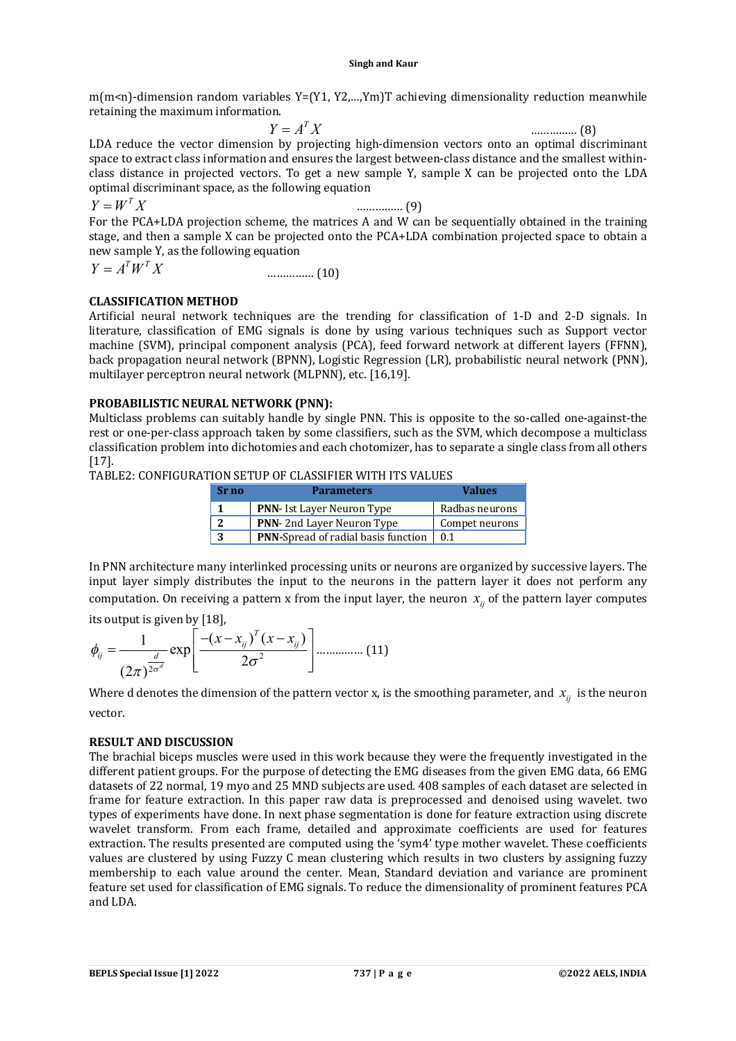m(m<n)-dimension random variables Y=(Y1, Y2,...,Ym)T achieving dimensionality reduction meanwhile retaining the maximum information.

 $Y = A^T X$  $Y = A^T X$  (8) LDA reduce the vector dimension by projecting high-dimension vectors onto an optimal discriminant space to extract class information and ensures the largest between-class distance and the smallest withinclass distance in projected vectors. To get a new sample Y, sample X can be projected onto the LDA optimal discriminant space, as the following equation

 $Y = W^T X$ 

*Y W X* …………… (9)

For the PCA+LDA projection scheme, the matrices A and W can be sequentially obtained in the training stage, and then a sample X can be projected onto the PCA+LDA combination projected space to obtain a new sample Y, as the following equation

$$
Y = A^T W^T X \tag{10}
$$

## **CLASSIFICATION METHOD**

Artificial neural network techniques are the trending for classification of 1-D and 2-D signals. In literature, classification of EMG signals is done by using various techniques such as Support vector machine (SVM), principal component analysis (PCA), feed forward network at different layers (FFNN), back propagation neural network (BPNN), Logistic Regression (LR), probabilistic neural network (PNN), multilayer perceptron neural network (MLPNN), etc. [16,19].

## **PROBABILISTIC NEURAL NETWORK (PNN):**

Multiclass problems can suitably handle by single PNN. This is opposite to the so-called one-against-the rest or one-per-class approach taken by some classifiers, such as the SVM, which decompose a multiclass classification problem into dichotomies and each chotomizer, has to separate a single class from all others [17].

TABLE2: CONFIGURATION SETUP OF CLASSIFIER WITH ITS VALUES

| Sr no | <b>Parameters</b>                          | <b>Values</b>  |
|-------|--------------------------------------------|----------------|
|       | <b>PNN-</b> Ist Layer Neuron Type          | Radbas neurons |
|       | <b>PNN-2nd Layer Neuron Type</b>           | Compet neurons |
|       | <b>PNN-Spread of radial basis function</b> | 0.1            |

In PNN architecture many interlinked processing units or neurons are organized by successive layers. The input layer simply distributes the input to the neurons in the pattern layer it does not perform any computation. On receiving a pattern x from the input layer, the neuron  $x_{i}$  of the pattern layer computes

its output is given by [18],

$$
\phi_{ij} = \frac{1}{(2\pi)^{\frac{d}{2\sigma^d}}} \exp\left[\frac{- (x - x_{ij})^T (x - x_{ij})}{2\sigma^2}\right] \dots \dots \dots \dots \dots (11)
$$

Where d denotes the dimension of the pattern vector x, is the smoothing parameter, and  $x_{ij}$  is the neuron vector.

## **RESULT AND DISCUSSION**

The brachial biceps muscles were used in this work because they were the frequently investigated in the different patient groups. For the purpose of detecting the EMG diseases from the given EMG data, 66 EMG datasets of 22 normal, 19 myo and 25 MND subjects are used. 408 samples of each dataset are selected in frame for feature extraction. In this paper raw data is preprocessed and denoised using wavelet. two types of experiments have done. In next phase segmentation is done for feature extraction using discrete wavelet transform. From each frame, detailed and approximate coefficients are used for features extraction. The results presented are computed using the 'sym4' type mother wavelet. These coefficients values are clustered by using Fuzzy C mean clustering which results in two clusters by assigning fuzzy membership to each value around the center. Mean, Standard deviation and variance are prominent feature set used for classification of EMG signals. To reduce the dimensionality of prominent features PCA and LDA.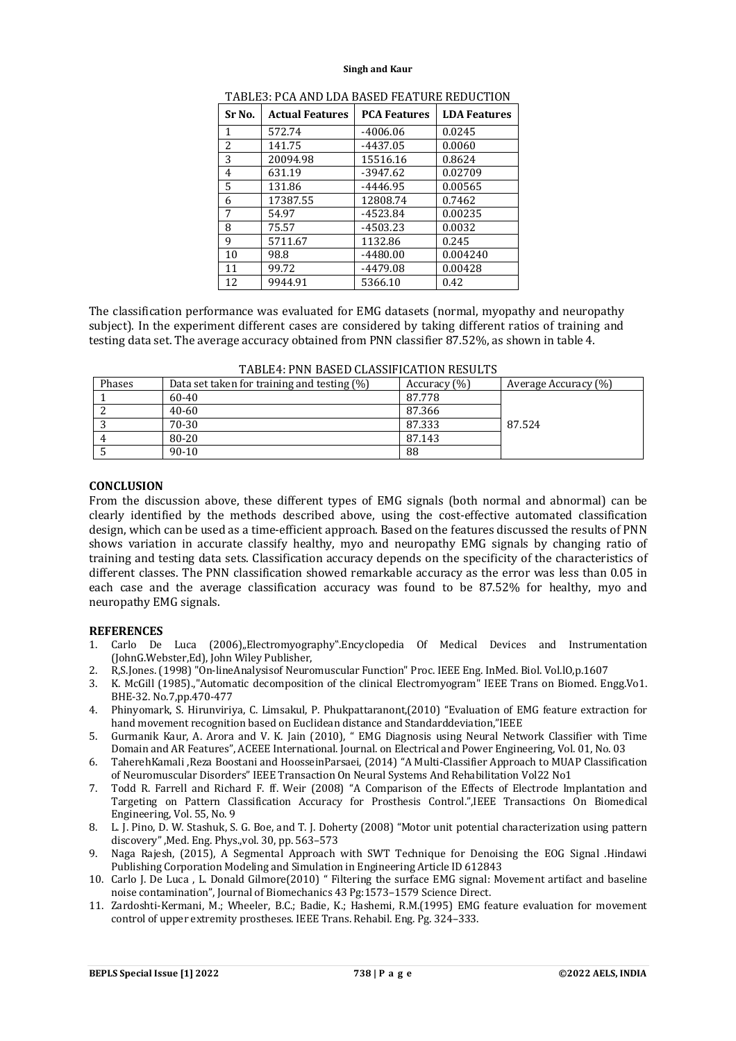| Sr No. | <b>Actual Features</b> | <b>PCA Features</b> | <b>LDA Features</b> |
|--------|------------------------|---------------------|---------------------|
| 1      | 572.74                 | $-4006.06$          | 0.0245              |
| 2      | 141.75                 | $-4437.05$          | 0.0060              |
| 3      | 20094.98               | 15516.16            | 0.8624              |
| 4      | 631.19                 | -3947.62            | 0.02709             |
| 5      | 131.86                 | -4446.95            | 0.00565             |
| 6      | 17387.55               | 12808.74            | 0.7462              |
| 7      | 54.97                  | $-4523.84$          | 0.00235             |
| 8      | 75.57                  | $-4503.23$          | 0.0032              |
| 9      | 5711.67                | 1132.86             | 0.245               |
| 10     | 98.8                   | $-4480.00$          | 0.004240            |
| 11     | 99.72                  | $-4479.08$          | 0.00428             |
| 12     | 9944.91                | 5366.10             | 0.42                |

The classification performance was evaluated for EMG datasets (normal, myopathy and neuropathy subject). In the experiment different cases are considered by taking different ratios of training and testing data set. The average accuracy obtained from PNN classifier 87.52%, as shown in table 4.

| Phases | Data set taken for training and testing (%) | Accuracy (%) | Average Accuracy (%) |
|--------|---------------------------------------------|--------------|----------------------|
|        | $60-40$                                     | 87.778       |                      |
|        | $40 - 60$                                   | 87.366       |                      |
|        | 70-30                                       | 87.333       | 87.524               |
|        | 80-20                                       | 87.143       |                      |
|        | $90 - 10$                                   | 88           |                      |

| TABLE4: PNN BASED CLASSIFICATION RESULTS |
|------------------------------------------|
|                                          |

#### **CONCLUSION**

From the discussion above, these different types of EMG signals (both normal and abnormal) can be clearly identified by the methods described above, using the cost-effective automated classification design, which can be used as a time-efficient approach. Based on the features discussed the results of PNN shows variation in accurate classify healthy, myo and neuropathy EMG signals by changing ratio of training and testing data sets. Classification accuracy depends on the specificity of the characteristics of different classes. The PNN classification showed remarkable accuracy as the error was less than 0.05 in each case and the average classification accuracy was found to be 87.52% for healthy, myo and neuropathy EMG signals.

#### **REFERENCES**

- 1. Carlo De Luca (2006), Electromyography". Encyclopedia Of Medical Devices and Instrumentation (JohnG.Webster,Ed), John Wiley Publisher,
- 2. R,S.Jones. (1998) "On-lineAnalysisof Neuromuscular Function" Proc. IEEE Eng. InMed. Biol. Vol.lO,p.1607
- 3. K. McGill (1985).,"Automatic decomposition of the clinical Electromyogram" IEEE Trans on Biomed. Engg.Vo1. BHE-32. No.7,pp.470-477
- 4. Phinyomark, S. Hirunviriya, C. Limsakul, P. Phukpattaranont,(2010) "Evaluation of EMG feature extraction for hand movement recognition based on Euclidean distance and Standarddeviation,"IEEE
- 5. Gurmanik Kaur, A. Arora and V. K. Jain (2010), " EMG Diagnosis using Neural Network Classifier with Time Domain and AR Features", ACEEE International. Journal. on Electrical and Power Engineering, Vol. 01, No. 03
- 6. TaherehKamali ,Reza Boostani and HoosseinParsaei, (2014) "A Multi-Classifier Approach to MUAP Classification of Neuromuscular Disorders" IEEE Transaction On Neural Systems And Rehabilitation Vol22 No1
- 7. Todd R. Farrell and Richard F. ff. Weir (2008) "A Comparison of the Effects of Electrode Implantation and Targeting on Pattern Classification Accuracy for Prosthesis Control.",IEEE Transactions On Biomedical Engineering, Vol. 55, No. 9
- 8. L. J. Pino, D. W. Stashuk, S. G. Boe, and T. J. Doherty (2008) "Motor unit potential characterization using pattern discovery" ,Med. Eng. Phys.,vol. 30, pp. 563–573
- 9. Naga Rajesh, (2015), A Segmental Approach with SWT Technique for Denoising the EOG Signal .Hindawi Publishing Corporation Modeling and Simulation in Engineering Article ID 612843
- 10. Carlo J. De Luca , L. Donald Gilmore(2010) " Filtering the surface EMG signal: Movement artifact and baseline noise contamination", Journal of Biomechanics 43 Pg:1573–1579 Science Direct.
- 11. Zardoshti-Kermani, M.; Wheeler, B.C.; Badie, K.; Hashemi, R.M.(1995) EMG feature evaluation for movement control of upper extremity prostheses. IEEE Trans. Rehabil. Eng. Pg. 324–333.